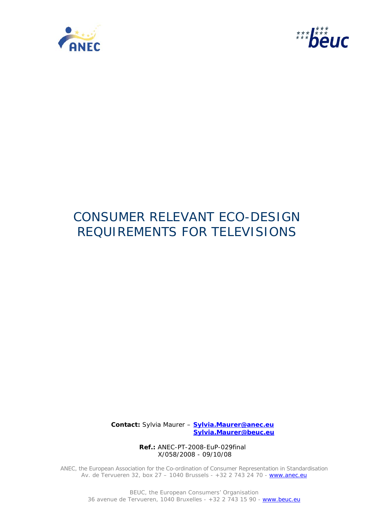



# CONSUMER RELEVANT ECO-DESIGN REQUIREMENTS FOR TELEVISIONS

 **Contact:** Sylvia Maurer – **Sylvia.Maurer@anec.eu Sylvia.Maurer@beuc.eu**

> **Ref.:** ANEC-PT-2008-EuP-029final X/058/2008 - 09/10/08

ANEC, the European Association for the Co-ordination of Consumer Representation in Standardisation Av. de Tervueren 32, box 27 - 1040 Brussels - +32 2 743 24 70 - www.anec.eu

> BEUC, the European Consumers' Organisation 36 avenue de Tervueren, 1040 Bruxelles - +32 2 743 15 90 - www.beuc.eu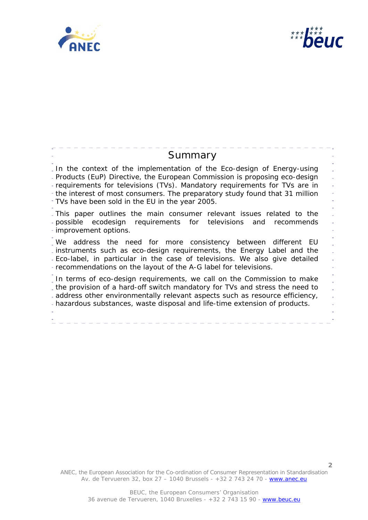



**2**

| Summary                                                                                                                                                                                                                                                                                                                                                                 |
|-------------------------------------------------------------------------------------------------------------------------------------------------------------------------------------------------------------------------------------------------------------------------------------------------------------------------------------------------------------------------|
| In the context of the implementation of the Eco-design of Energy-using<br>- Products (EuP) Directive, the European Commission is proposing eco-design<br>- requirements for televisions (TVs). Mandatory requirements for TVs are in<br>- the interest of most consumers. The preparatory study found that 31 million<br>TVs have been sold in the EU in the year 2005. |
| . This paper outlines the main consumer relevant issues related to the<br>- possible ecodesign requirements for televisions and recommends<br>· improvement options.                                                                                                                                                                                                    |
| We address the need for more consistency between different<br>- EU<br>instruments such as eco-design requirements, the Energy Label and the<br>- Eco-label, in particular in the case of televisions. We also give detailed<br>- recommendations on the layout of the A-G label for televisions.                                                                        |
| . In terms of eco-design requirements, we call on the Commission to make<br>the provision of a hard-off switch mandatory for TVs and stress the need to<br>- address other environmentally relevant aspects such as resource efficiency,<br>- hazardous substances, waste disposal and life-time extension of products.                                                 |

ANEC, the European Association for the Co-ordination of Consumer Representation in Standardisation Av. de Tervueren 32, box 27 – 1040 Brussels - +32 2 743 24 70 - www.anec.eu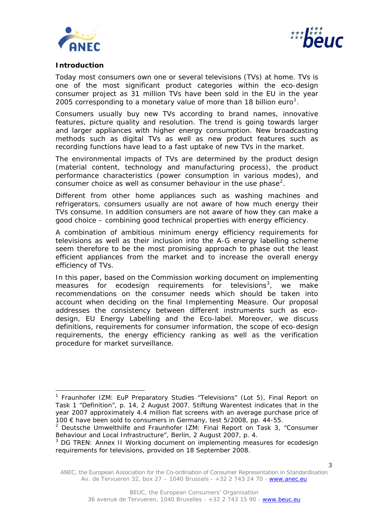



# **Introduction**

ł

Today most consumers own one or several televisions (TVs) at home. TVs is one of the most significant product categories within the eco-design consumer project as 31 million TVs have been sold in the EU in the year 2005 corresponding to a monetary value of more than [1](#page-2-0)8 billion euro<sup>1</sup>.

Consumers usually buy new TVs according to brand names, innovative features, picture quality and resolution. The trend is going towards larger and larger appliances with higher energy consumption. New broadcasting methods such as digital TVs as well as new product features such as recording functions have lead to a fast uptake of new TVs in the market.

The environmental impacts of TVs are determined by the product design (material content, technology and manufacturing process), the product performance characteristics (power consumption in various modes), and consumer choice as well as consumer behaviour in the use phase<sup>[2](#page-2-1)</sup>.

Different from other home appliances such as washing machines and refrigerators, consumers usually are not aware of how much energy their TVs consume. In addition consumers are not aware of how they can make a good choice – combining good technical properties with energy efficiency.

A combination of ambitious minimum energy efficiency requirements for televisions as well as their inclusion into the A-G energy labelling scheme seem therefore to be the most promising approach to phase out the least efficient appliances from the market and to increase the overall energy efficiency of TVs.

In this paper, based on the Commission working document on implementing measures for ecodesign requirements for televisions<sup>[3](#page-2-2)</sup>, we make recommendations on the consumer needs which should be taken into account when deciding on the final Implementing Measure. Our proposal addresses the consistency between different instruments such as ecodesign, EU Energy Labelling and the Eco-label. Moreover, we discuss definitions, requirements for consumer information, the scope of eco-design requirements, the energy efficiency ranking as well as the verification procedure for market surveillance.

<span id="page-2-0"></span><sup>&</sup>lt;sup>1</sup> Fraunhofer IZM: EuP Preparatory Studies "Televisions" (Lot 5), Final Report on Task 1 "Definition", p. 14, 2 August 2007. Stiftung Warentest indicates that in the year 2007 approximately 4.4 million flat screens with an average purchase price of 100 € have been sold to consumers in Germany, test 5/2008, pp. 44-55.

<span id="page-2-1"></span><sup>&</sup>lt;sup>2</sup> Deutsche Umwelthilfe and Fraunhofer IZM: Final Report on Task 3, "Consumer Behaviour and Local Infrastructure", Berlin, 2 August 2007, p. 4.

<span id="page-2-2"></span><sup>&</sup>lt;sup>3</sup> DG TREN: Annex II Working document on implementing measures for ecodesign requirements for televisions, provided on 18 September 2008.

ANEC, the European Association for the Co-ordination of Consumer Representation in Standardisation Av. de Tervueren 32, box 27 – 1040 Brussels - +32 2 743 24 70 - www.anec.eu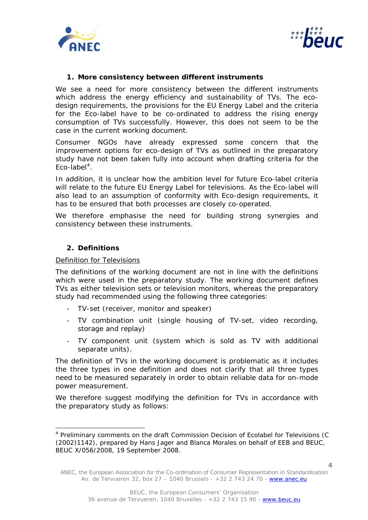



# **1. More consistency between different instruments**

We see a need for more consistency between the different instruments which address the energy efficiency and sustainability of TVs. The ecodesign requirements, the provisions for the EU Energy Label and the criteria for the Eco-label have to be co-ordinated to address the rising energy consumption of TVs successfully. However, this does not seem to be the case in the current working document.

Consumer NGOs have already expressed some concern that the improvement options for eco-design of TVs as outlined in the preparatory study have not been taken fully into account when drafting criteria for the Eco-label<sup>[4](#page-3-0)</sup>.

In addition, it is unclear how the ambition level for future Eco-label criteria will relate to the future EU Energy Label for televisions. As the Eco-label will also lead to an assumption of conformity with Eco-design requirements, it has to be ensured that both processes are closely co-operated.

We therefore emphasise the need for building strong synergies and consistency between these instruments.

# **2. Definitions**

ł

Definition for Televisions

The definitions of the working document are not in line with the definitions which were used in the preparatory study. The working document defines TVs as either television sets or television monitors, whereas the preparatory study had recommended using the following three categories:

- TV-set (receiver, monitor and speaker)
- TV combination unit (single housing of TV-set, video recording, storage and replay)
- TV component unit (system which is sold as TV with additional separate units).

The definition of TVs in the working document is problematic as it includes the three types in one definition and does not clarify that all three types need to be measured separately in order to obtain reliable data for on-mode power measurement.

We therefore suggest modifying the definition for TVs in accordance with the preparatory study as follows:

<span id="page-3-0"></span><sup>&</sup>lt;sup>4</sup> Preliminary comments on the draft Commission Decision of Ecolabel for Televisions (C (2002)1142), prepared by Hans Jager and Blanca Morales on behalf of EEB and BEUC, BEUC X/056/2008, 19 September 2008.

ANEC, the European Association for the Co-ordination of Consumer Representation in Standardisation Av. de Tervueren 32, box 27 – 1040 Brussels - +32 2 743 24 70 - www.anec.eu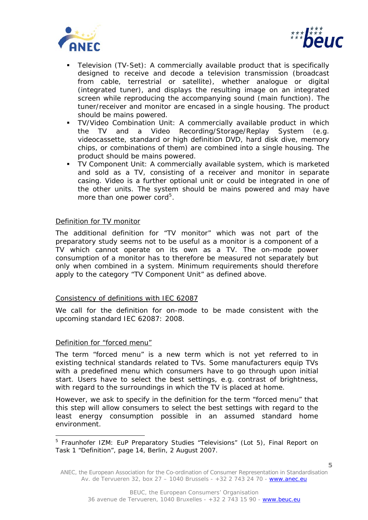



- Television (TV-Set): A commercially available product that is specifically designed to receive and decode a television transmission (broadcast from cable, terrestrial or satellite), whether analogue or digital (integrated tuner), and displays the resulting image on an integrated screen while reproducing the accompanying sound (main function). The tuner/receiver and monitor are encased in a single housing. The product should be mains powered.
- TV/Video Combination Unit: A commercially available product in which the TV and a Video Recording/Storage/Replay System (e.g. videocassette, standard or high definition DVD, hard disk dive, memory chips, or combinations of them) are combined into a single housing. The product should be mains powered.
- TV Component Unit: A commercially available system, which is marketed and sold as a TV, consisting of a receiver and monitor in separate casing. Video is a further optional unit or could be integrated in one of the other units. The system should be mains powered and may have more than one power cord<sup>[5](#page-4-0)</sup>.

#### Definition for TV monitor

The additional definition for "TV monitor" which was not part of the preparatory study seems not to be useful as a monitor is a component of a TV which cannot operate on its own as a TV. The on-mode power consumption of a monitor has to therefore be measured not separately but only when combined in a system. Minimum requirements should therefore apply to the category "TV Component Unit" as defined above.

# Consistency of definitions with IEC 62087

We call for the definition for on-mode to be made consistent with the upcoming standard IEC 62087: 2008.

#### Definition for "forced menu"

l

The term "forced menu" is a new term which is not yet referred to in existing technical standards related to TVs. Some manufacturers equip TVs with a predefined menu which consumers have to go through upon initial start. Users have to select the best settings, e.g. contrast of brightness, with regard to the surroundings in which the TV is placed at home.

However, we ask to specify in the definition for the term "forced menu" that this step will allow consumers to select the best settings with regard to the least energy consumption possible in an assumed standard home environment.

<span id="page-4-0"></span><sup>&</sup>lt;sup>5</sup> Fraunhofer IZM: EuP Preparatory Studies "Televisions" (Lot 5), Final Report on Task 1 "Definition", page 14, Berlin, 2 August 2007.

ANEC, the European Association for the Co-ordination of Consumer Representation in Standardisation Av. de Tervueren 32, box 27 – 1040 Brussels - +32 2 743 24 70 - www.anec.eu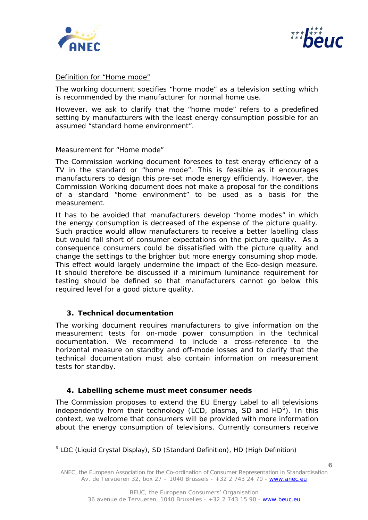



# Definition for "Home mode"

The working document specifies "home mode" as a television setting which is recommended by the manufacturer for normal home use.

However, we ask to clarify that the "home mode" refers to a predefined setting by manufacturers with the least energy consumption possible for an assumed "standard home environment".

#### Measurement for "Home mode"

The Commission working document foresees to test energy efficiency of a TV in the standard or "home mode". This is feasible as it encourages manufacturers to design this pre-set mode energy efficiently. However, the Commission Working document does not make a proposal for the conditions of a standard "home environment" to be used as a basis for the measurement.

It has to be avoided that manufacturers develop "home modes" in which the energy consumption is decreased of the expense of the picture quality. Such practice would allow manufacturers to receive a better labelling class but would fall short of consumer expectations on the picture quality. As a consequence consumers could be dissatisfied with the picture quality and change the settings to the brighter but more energy consuming shop mode. This effect would largely undermine the impact of the Eco-design measure. It should therefore be discussed if a minimum luminance requirement for testing should be defined so that manufacturers cannot go below this required level for a good picture quality.

# **3. Technical documentation**

ł

The working document requires manufacturers to give information on the measurement tests for on-mode power consumption in the technical documentation. We recommend to include a cross-reference to the horizontal measure on standby and off-mode losses and to clarify that the technical documentation must also contain information on measurement tests for standby.

#### **4. Labelling scheme must meet consumer needs**

The Commission proposes to extend the EU Energy Label to all televisions independently from their technology (LCD, plasma, SD and  $HD^6$  $HD^6$ ). In this context, we welcome that consumers will be provided with more information about the energy consumption of televisions. Currently consumers receive

<span id="page-5-0"></span><sup>&</sup>lt;sup>6</sup> LDC (Liquid Crystal Display), SD (Standard Definition), HD (High Definition)

ANEC, the European Association for the Co-ordination of Consumer Representation in Standardisation Av. de Tervueren 32, box 27 – 1040 Brussels - +32 2 743 24 70 - www.anec.eu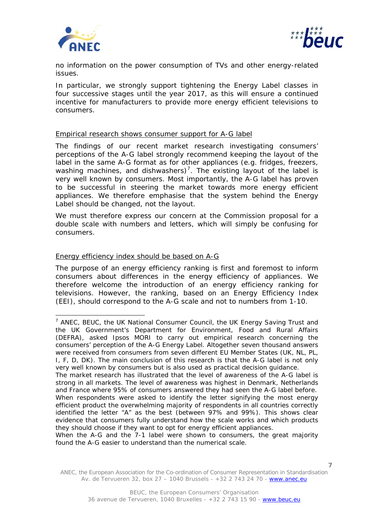

j.



**7**

no information on the power consumption of TVs and other energy-related issues.

In particular, we strongly support tightening the Energy Label classes in four successive stages until the year 2017, as this will ensure a continued incentive for manufacturers to provide more energy efficient televisions to consumers.

#### Empirical research shows consumer support for A-G label

The findings of our recent market research investigating consumers' perceptions of the A-G label strongly recommend keeping the layout of the label in the same A-G format as for other appliances (e.g. fridges, freezers, washing machines, and dishwashers)<sup>[7](#page-6-0)</sup>. The existing layout of the label is very well known by consumers. Most importantly, the A-G label has proven to be successful in steering the market towards more energy efficient appliances. We therefore emphasise that the system behind the Energy Label should be changed, not the layout.

We must therefore express our concern at the Commission proposal for a double scale with numbers and letters, which will simply be confusing for consumers.

# Energy efficiency index should be based on A-G

The purpose of an energy efficiency ranking is first and foremost to inform consumers about differences in the energy efficiency of appliances. We therefore welcome the introduction of an energy efficiency ranking for televisions. However, the ranking, based on an Energy Efficiency Index (EEI), should correspond to the A-G scale and not to numbers from 1-10.

When the A-G and the 7-1 label were shown to consumers, the great majority found the A-G easier to understand than the numerical scale.

ANEC, the European Association for the Co-ordination of Consumer Representation in Standardisation Av. de Tervueren 32, box 27 - 1040 Brussels - +32 2 743 24 70 - www.anec.eu

<span id="page-6-0"></span><sup>&</sup>lt;sup>7</sup> ANEC, BEUC, the UK National Consumer Council, the UK Energy Saving Trust and the UK Government's Department for Environment, Food and Rural Affairs (DEFRA), asked Ipsos MORI to carry out empirical research concerning the consumers' perception of the A-G Energy Label. Altogether seven thousand answers were received from consumers from seven different EU Member States (UK, NL, PL, I, F, D, DK). The main conclusion of this research is that the A-G label is not only very well known by consumers but is also used as practical decision guidance.

The market research has illustrated that the level of awareness of the A-G label is strong in all markets. The level of awareness was highest in Denmark, Netherlands and France where 95% of consumers answered they had seen the A-G label before. When respondents were asked to identify the letter signifying the most energy efficient product the overwhelming majority of respondents in all countries correctly identified the letter "A" as the best (between 97% and 99%). This shows clear evidence that consumers fully understand how the scale works and which products they should choose if they want to opt for energy efficient appliances.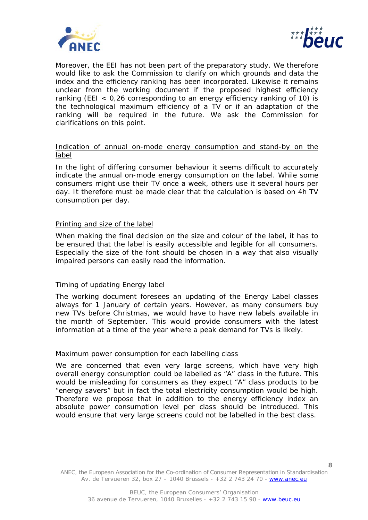



Moreover, the EEI has not been part of the preparatory study. We therefore would like to ask the Commission to clarify on which grounds and data the index and the efficiency ranking has been incorporated. Likewise it remains unclear from the working document if the proposed highest efficiency ranking (EEI < 0,26 corresponding to an energy efficiency ranking of 10) is the technological maximum efficiency of a TV or if an adaptation of the ranking will be required in the future. We ask the Commission for clarifications on this point.

# Indication of annual on-mode energy consumption and stand-by on the label

In the light of differing consumer behaviour it seems difficult to accurately indicate the annual on-mode energy consumption on the label. While some consumers might use their TV once a week, others use it several hours per day. It therefore must be made clear that the calculation is based on 4h TV consumption per day.

# Printing and size of the label

When making the final decision on the size and colour of the label, it has to be ensured that the label is easily accessible and legible for all consumers. Especially the size of the font should be chosen in a way that also visually impaired persons can easily read the information.

#### Timing of updating Energy label

The working document foresees an updating of the Energy Label classes always for 1 January of certain years. However, as many consumers buy new TVs before Christmas, we would have to have new labels available in the month of September. This would provide consumers with the latest information at a time of the year where a peak demand for TVs is likely.

#### Maximum power consumption for each labelling class

We are concerned that even very large screens, which have very high overall energy consumption could be labelled as "A" class in the future. This would be misleading for consumers as they expect "A" class products to be "energy savers" but in fact the total electricity consumption would be high. Therefore we propose that in addition to the energy efficiency index an absolute power consumption level per class should be introduced. This would ensure that very large screens could not be labelled in the best class.

ANEC, the European Association for the Co-ordination of Consumer Representation in Standardisation Av. de Tervueren 32, box 27 – 1040 Brussels - +32 2 743 24 70 - www.anec.eu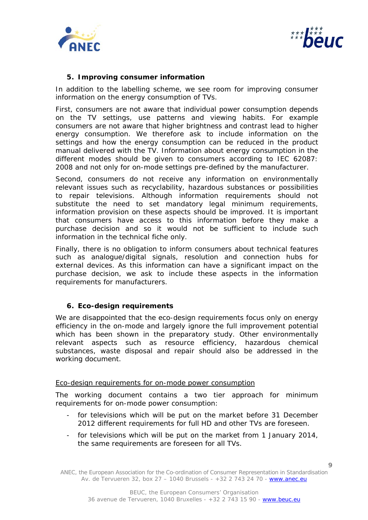



# **5. Improving consumer information**

In addition to the labelling scheme, we see room for improving consumer information on the energy consumption of TVs.

First, consumers are not aware that individual power consumption depends on the TV settings, use patterns and viewing habits. For example consumers are not aware that higher brightness and contrast lead to higher energy consumption. We therefore ask to include information on the settings and how the energy consumption can be reduced in the product manual delivered with the TV. Information about energy consumption in the different modes should be given to consumers according to IEC 62087: 2008 and not only for on-mode settings pre-defined by the manufacturer.

Second, consumers do not receive any information on environmentally relevant issues such as recyclability, hazardous substances or possibilities to repair televisions. Although information requirements should not substitute the need to set mandatory legal minimum requirements, information provision on these aspects should be improved. It is important that consumers have access to this information before they make a purchase decision and so it would not be sufficient to include such information in the technical fiche only.

Finally, there is no obligation to inform consumers about technical features such as analogue/digital signals, resolution and connection hubs for external devices. As this information can have a significant impact on the purchase decision, we ask to include these aspects in the information requirements for manufacturers.

# **6. Eco-design requirements**

We are disappointed that the eco-design requirements focus only on energy efficiency in the on-mode and largely ignore the full improvement potential which has been shown in the preparatory study. Other environmentally relevant aspects such as resource efficiency, hazardous chemical substances, waste disposal and repair should also be addressed in the working document.

#### Eco-design requirements for on-mode power consumption

The working document contains a two tier approach for minimum requirements for on-mode power consumption:

- for televisions which will be put on the market before 31 December 2012 different requirements for full HD and other TVs are foreseen.
- for televisions which will be put on the market from 1 January 2014, the same requirements are foreseen for all TVs.

ANEC, the European Association for the Co-ordination of Consumer Representation in Standardisation Av. de Tervueren 32, box 27 – 1040 Brussels - +32 2 743 24 70 - www.anec.eu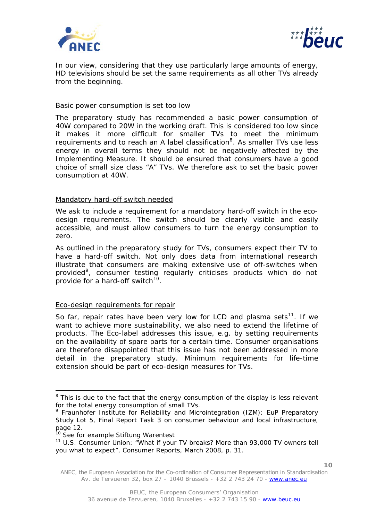



In our view, considering that they use particularly large amounts of energy, HD televisions should be set the same requirements as all other TVs already from the beginning.

#### Basic power consumption is set too low

The preparatory study has recommended a basic power consumption of 40W compared to 20W in the working draft. This is considered too low since it makes it more difficult for smaller TVs to meet the minimum requirements and to reach an A label classification<sup>[8](#page-9-0)</sup>. As smaller TVs use less energy in overall terms they should not be negatively affected by the Implementing Measure. It should be ensured that consumers have a good choice of small size class "A" TVs. We therefore ask to set the basic power consumption at 40W.

#### Mandatory hard-off switch needed

We ask to include a requirement for a mandatory hard-off switch in the ecodesign requirements. The switch should be clearly visible and easily accessible, and must allow consumers to turn the energy consumption to zero.

As outlined in the preparatory study for TVs, consumers expect their TV to have a hard-off switch. Not only does data from international research illustrate that consumers are making extensive use of off-switches when provided<sup>[9](#page-9-1)</sup>, consumer testing regularly criticises products which do not provide for a hard-off switch<sup>[10](#page-9-2)</sup>.

# Eco-design requirements for repair

So far, repair rates have been very low for LCD and plasma sets $11$ . If we want to achieve more sustainability, we also need to extend the lifetime of products. The Eco-label addresses this issue, e.g. by setting requirements on the availability of spare parts for a certain time. Consumer organisations are therefore disappointed that this issue has not been addressed in more detail in the preparatory study. Minimum requirements for life-time extension should be part of eco-design measures for TVs.

ł

<span id="page-9-0"></span><sup>&</sup>lt;sup>8</sup> This is due to the fact that the energy consumption of the display is less relevant for the total energy consumption of small TVs.

<span id="page-9-1"></span><sup>&</sup>lt;sup>9</sup> Fraunhofer Institute for Reliability and Microintegration (IZM): EuP Preparatory Study Lot 5, Final Report Task 3 on consumer behaviour and local infrastructure, page 12.

<sup>&</sup>lt;sup>10</sup> See for example Stiftung Warentest

<span id="page-9-3"></span><span id="page-9-2"></span><sup>&</sup>lt;sup>11</sup> U.S. Consumer Union: "What if your TV breaks? More than 93,000 TV owners tell you what to expect", Consumer Reports, March 2008, p. 31.

ANEC, the European Association for the Co-ordination of Consumer Representation in Standardisation Av. de Tervueren 32, box 27 – 1040 Brussels - +32 2 743 24 70 - www.anec.eu